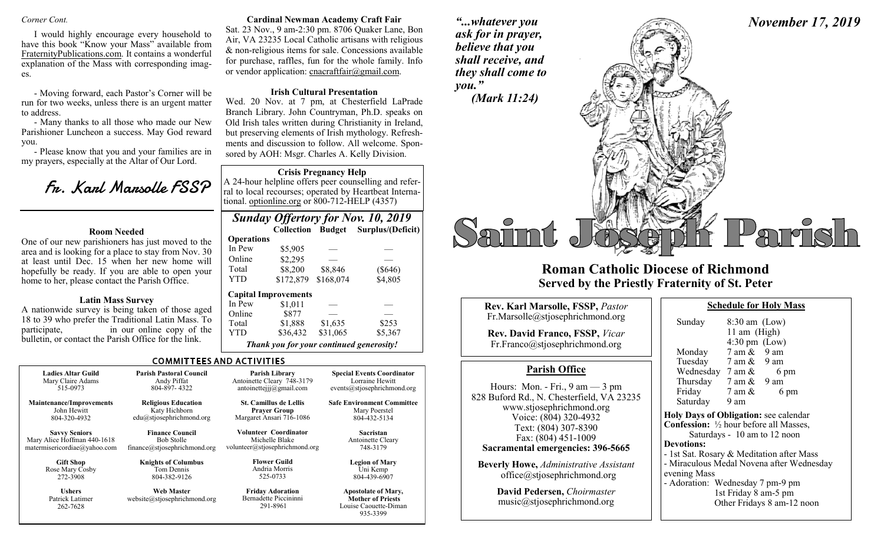I would highly encourage every household to have this book "Know your Mass" available from FraternityPublications.com. It contains a wonderful explanation of the Mass with corresponding images.

- Moving forward, each Pastor's Corner will be run for two weeks, unless there is an urgent matter to address.

- Many thanks to all those who made our New Parishioner Luncheon a success. May God reward you.

- Please know that you and your families are in my prayers, especially at the Altar of Our Lord.

Fr. Karl Marsolle FSSP

#### **Room Needed**

One of our new parishioners has just moved to the area and is looking for a place to stay from Nov. 30 at least until Dec. 15 when her new home will hopefully be ready. If you are able to open your home to her, please contact the Parish Office.

#### **Latin Mass Survey**

A nationwide survey is being taken of those aged 18 to 39 who prefer the Traditional Latin Mass. To participate, in our online copy of the bulletin, or contact the Parish Office for the link.

#### *Corner Cont.* **Cardinal Newman Academy Craft Fair**

Sat. 23 Nov., 9 am-2:30 pm. 8706 Quaker Lane, Bon Air, VA 23235 Local Catholic artisans with religious & non-religious items for sale. Concessions available for purchase, raffles, fun for the whole family. Info or vendor application: cnacraftfair@gmail.com.

#### **Irish Cultural Presentation**

Wed. 20 Nov. at 7 pm, at Chesterfield LaPrade Branch Library. John Countryman, Ph.D. speaks on Old Irish tales written during Christianity in Ireland, but preserving elements of Irish mythology. Refreshments and discussion to follow. All welcome. Sponsored by AOH: Msgr. Charles A. Kelly Division.

#### **Crisis Pregnancy Help**

A 24-hour helpline offers peer counselling and referral to local recourses; operated by Heartbeat International. optionline.org or 800-712-HELP (4357)

# *Sunday Offertory for Nov. 10, 2019*

|                   | <b>Collection</b>                        | <b>Budget</b> | Surplus/(Deficit) |
|-------------------|------------------------------------------|---------------|-------------------|
| <b>Operations</b> |                                          |               |                   |
| In Pew            | \$5,905                                  |               |                   |
| Online            | \$2,295                                  |               |                   |
| Total             | \$8,200                                  | \$8,846       | $(\$646)$         |
| YTD               | \$172,879                                | \$168,074     | \$4,805           |
|                   | <b>Capital Improvements</b>              |               |                   |
| In Pew            | \$1,011                                  |               |                   |
| Online            | \$877                                    |               |                   |
| Total             | \$1,888                                  | \$1,635       | \$253             |
| YTD               | \$36,432                                 | \$31,065      | \$5,367           |
|                   | Thank you for your continued generosity! |               |                   |

#### **COMMITTEES AND ACTIVITIES**

| <b>Ladies Altar Guild</b>                    | <b>Parish Pastoral Council</b>                    | Parish Library                                               | <b>Special Events Coordinator</b>                                               |
|----------------------------------------------|---------------------------------------------------|--------------------------------------------------------------|---------------------------------------------------------------------------------|
| Mary Claire Adams                            | Andy Piffat                                       | Antoinette Cleary 748-3179                                   | Lorraine Hewitt                                                                 |
| 515-0973                                     | 804-897-4322                                      | antoinetteiji@gmail.com                                      | events@stiosephrichmond.org                                                     |
| <b>Maintenance/Improvements</b>              | <b>Religious Education</b>                        | <b>St. Camillus de Lellis</b>                                | <b>Safe Environment Committee</b>                                               |
| John Hewitt                                  | Katy Hichborn                                     | <b>Prayer Group</b>                                          | Mary Poerstel                                                                   |
| 804-320-4932                                 | edu@stjosephrichmond.org                          | Margaret Ansari 716-1086                                     | 804-432-5134                                                                    |
| <b>Savvy Seniors</b>                         | <b>Finance Council</b>                            | <b>Volunteer Coordinator</b>                                 | Sacristan                                                                       |
| Mary Alice Hoffman 440-1618                  | <b>Bob Stolle</b>                                 | Michelle Blake                                               | Antoinette Cleary                                                               |
| matermisericordiae@yahoo.com                 | finance@stjosephrichmond.org                      | volunteer@stjosephrichmond.org                               | 748-3179                                                                        |
| <b>Gift Shop</b>                             | <b>Knights of Columbus</b>                        | <b>Flower Guild</b>                                          | <b>Legion of Mary</b>                                                           |
| Rose Mary Cosby                              | Tom Dennis                                        | Andria Morris                                                | Uni Kemp                                                                        |
| 272-3908                                     | 804-382-9126                                      | 525-0733                                                     | 804-439-6907                                                                    |
| <b>Ushers</b><br>Patrick Latimer<br>262-7628 | <b>Web Master</b><br>website@stiosephrichmond.org | <b>Friday Adoration</b><br>Bernadette Piccininni<br>291-8961 | <b>Apostolate of Mary,</b><br><b>Mother of Priests</b><br>Louise Caouette-Diman |

*"...whatever you ask for in prayer, believe that you* 

*November 17, 2019*



## **Roman Catholic Diocese of Richmond Served by the Priestly Fraternity of St. Peter**

| Rev. Karl Marsolle, FSSP, Pastor<br>Fr.Marsolle@stjosephrichmond.org<br><b>Rev. David Franco, FSSP, Vicar</b><br>Fr.Franco@stjosephrichmond.org<br><b>Parish Office</b><br>Hours: Mon. - Fri., $9 \text{ am} - 3 \text{ pm}$<br>www.stjosephrichmond.org<br>Voice: (804) 320-4932<br>Text: (804) 307-8390<br>Fax: (804) 451-1009<br><b>Sacramental emergencies: 396-5665</b><br><b>Beverly Howe, Administrative Assistant</b><br>office@stjosephrichmond.org | Su<br>M<br>Tu                                                    |
|--------------------------------------------------------------------------------------------------------------------------------------------------------------------------------------------------------------------------------------------------------------------------------------------------------------------------------------------------------------------------------------------------------------------------------------------------------------|------------------------------------------------------------------|
|                                                                                                                                                                                                                                                                                                                                                                                                                                                              | $W_0$                                                            |
| 828 Buford Rd., N. Chesterfield, VA 23235                                                                                                                                                                                                                                                                                                                                                                                                                    | Th<br>Fri<br>Sa<br>Holy 1<br>Confe<br>Devot<br>- 1st S<br>- Mira |
|                                                                                                                                                                                                                                                                                                                                                                                                                                                              | evenir                                                           |
| David Pedersen, Choirmaster<br>music@stjosephrichmond.org                                                                                                                                                                                                                                                                                                                                                                                                    | - Adoı                                                           |

| Sunday                       | $8:30$ am (Low)<br>11 am (High)<br>$4:30 \text{ pm}$ (Low)                                                                        |  |  |  |  |
|------------------------------|-----------------------------------------------------------------------------------------------------------------------------------|--|--|--|--|
| Monday                       | $7$ am $\&$ 9 am                                                                                                                  |  |  |  |  |
|                              | Tuesday $7 \text{ am } \& 9 \text{ am}$                                                                                           |  |  |  |  |
| Wednesday $7 \text{ am } \&$ | 6 pm                                                                                                                              |  |  |  |  |
|                              | Thursday $7 \text{ am } \& 9 \text{ am}$                                                                                          |  |  |  |  |
| Friday                       | 7 am $\&$<br>6 pm                                                                                                                 |  |  |  |  |
| Saturday 9 am                |                                                                                                                                   |  |  |  |  |
|                              | Holy Days of Obligation: see calendar<br><b>Confession:</b> $\frac{1}{2}$ hour before all Masses,<br>Saturdays - 10 am to 12 noon |  |  |  |  |
| <b>Devotions:</b>            |                                                                                                                                   |  |  |  |  |
|                              | - 1st Sat. Rosary & Meditation after Mass                                                                                         |  |  |  |  |
|                              | - Miraculous Medal Novena after Wednesday                                                                                         |  |  |  |  |
| evening Mass                 |                                                                                                                                   |  |  |  |  |
|                              | - Adoration: Wednesday 7 pm-9 pm                                                                                                  |  |  |  |  |
|                              | 1st Friday 8 am-5 pm                                                                                                              |  |  |  |  |
|                              | Other Fridays 8 am-12 noon                                                                                                        |  |  |  |  |

**Schedule for Holy Mass** 

Louise Caouette-Diman 935-3399